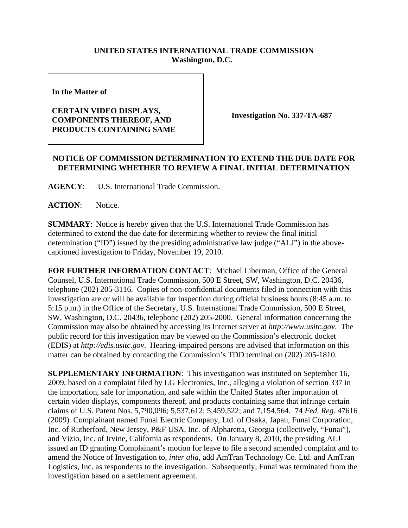## **UNITED STATES INTERNATIONAL TRADE COMMISSION Washington, D.C.**

**In the Matter of** 

## **CERTAIN VIDEO DISPLAYS, COMPONENTS THEREOF, AND PRODUCTS CONTAINING SAME**

**Investigation No. 337-TA-687**

## **NOTICE OF COMMISSION DETERMINATION TO EXTEND THE DUE DATE FOR DETERMINING WHETHER TO REVIEW A FINAL INITIAL DETERMINATION**

**AGENCY**: U.S. International Trade Commission.

**ACTION**: Notice.

**SUMMARY**: Notice is hereby given that the U.S. International Trade Commission has determined to extend the due date for determining whether to review the final initial determination ("ID") issued by the presiding administrative law judge ("ALJ") in the abovecaptioned investigation to Friday, November 19, 2010.

**FOR FURTHER INFORMATION CONTACT**: Michael Liberman, Office of the General Counsel, U.S. International Trade Commission, 500 E Street, SW, Washington, D.C. 20436, telephone (202) 205-3116. Copies of non-confidential documents filed in connection with this investigation are or will be available for inspection during official business hours (8:45 a.m. to 5:15 p.m.) in the Office of the Secretary, U.S. International Trade Commission, 500 E Street, SW, Washington, D.C. 20436, telephone (202) 205-2000. General information concerning the Commission may also be obtained by accessing its Internet server at *http://www.usitc.gov*. The public record for this investigation may be viewed on the Commission's electronic docket (EDIS) at *http://edis.usitc.gov*. Hearing-impaired persons are advised that information on this matter can be obtained by contacting the Commission's TDD terminal on (202) 205-1810.

**SUPPLEMENTARY INFORMATION**: This investigation was instituted on September 16, 2009, based on a complaint filed by LG Electronics, Inc., alleging a violation of section 337 in the importation, sale for importation, and sale within the United States after importation of certain video displays, components thereof, and products containing same that infringe certain claims of U.S. Patent Nos. 5,790,096; 5,537,612; 5,459,522; and 7,154,564. 74 *Fed. Reg.* 47616 (2009) Complainant named Funai Electric Company, Ltd. of Osaka, Japan, Funai Corporation, Inc. of Rutherford, New Jersey, P&F USA, Inc. of Alpharetta, Georgia (collectively, "Funai"), and Vizio, Inc. of Irvine, California as respondents. On January 8, 2010, the presiding ALJ issued an ID granting Complainant's motion for leave to file a second amended complaint and to amend the Notice of Investigation to, *inter alia*, add AmTran Technology Co. Ltd. and AmTran Logistics, Inc. as respondents to the investigation. Subsequently, Funai was terminated from the investigation based on a settlement agreement.